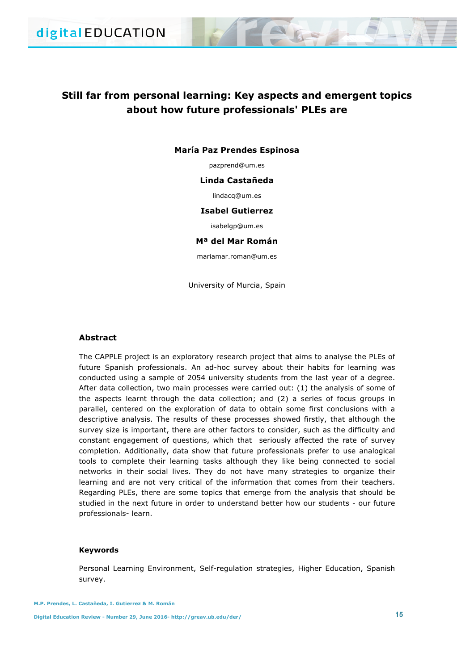# **Still far from personal learning: Key aspects and emergent topics about how future professionals' PLEs are**

#### **María Paz Prendes Espinosa**

pazprend@um.es

#### **Linda Castañeda**

lindacq@um.es

#### **Isabel Gutierrez**

isabelgp@um.es

## **Mª del Mar Román**

mariamar.roman@um.es

University of Murcia, Spain

# **Abstract**

The CAPPLE project is an exploratory research project that aims to analyse the PLEs of future Spanish professionals. An ad-hoc survey about their habits for learning was conducted using a sample of 2054 university students from the last year of a degree. After data collection, two main processes were carried out: (1) the analysis of some of the aspects learnt through the data collection; and (2) a series of focus groups in parallel, centered on the exploration of data to obtain some first conclusions with a descriptive analysis. The results of these processes showed firstly, that although the survey size is important, there are other factors to consider, such as the difficulty and constant engagement of questions, which that seriously affected the rate of survey completion. Additionally, data show that future professionals prefer to use analogical tools to complete their learning tasks although they like being connected to social networks in their social lives. They do not have many strategies to organize their learning and are not very critical of the information that comes from their teachers. Regarding PLEs, there are some topics that emerge from the analysis that should be studied in the next future in order to understand better how our students - our future professionals- learn.

#### **Keywords**

Personal Learning Environment, Self-regulation strategies, Higher Education, Spanish survey.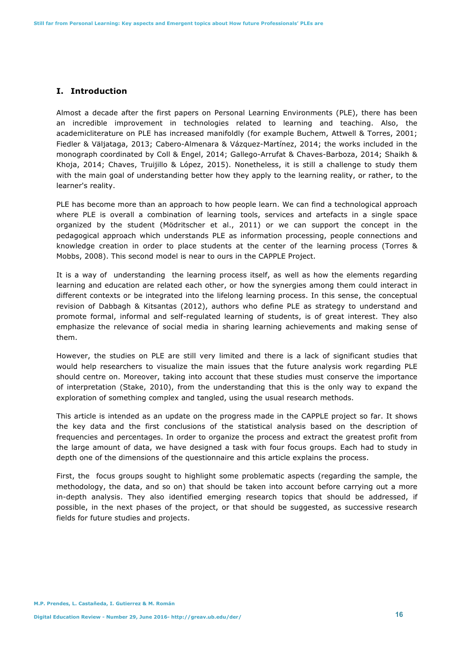# **I. Introduction**

Almost a decade after the first papers on Personal Learning Environments (PLE), there has been an incredible improvement in technologies related to learning and teaching. Also, the academicliterature on PLE has increased manifoldly (for example Buchem, Attwell & Torres, 2001; Fiedler & Väljataga, 2013; Cabero-Almenara & Vázquez-Martínez, 2014; the works included in the monograph coordinated by Coll & Engel, 2014; Gallego-Arrufat & Chaves-Barboza, 2014; Shaikh & Khoja, 2014; Chaves, Truijillo & López, 2015). Nonetheless, it is still a challenge to study them with the main goal of understanding better how they apply to the learning reality, or rather, to the learner's reality.

PLE has become more than an approach to how people learn. We can find a technological approach where PLE is overall a combination of learning tools, services and artefacts in a single space organized by the student (Mödritscher et al., 2011) or we can support the concept in the pedagogical approach which understands PLE as information processing, people connections and knowledge creation in order to place students at the center of the learning process (Torres & Mobbs, 2008). This second model is near to ours in the CAPPLE Project.

It is a way of understanding the learning process itself, as well as how the elements regarding learning and education are related each other, or how the synergies among them could interact in different contexts or be integrated into the lifelong learning process. In this sense, the conceptual revision of Dabbagh & Kitsantas (2012), authors who define PLE as strategy to understand and promote formal, informal and self-regulated learning of students, is of great interest. They also emphasize the relevance of social media in sharing learning achievements and making sense of them.

However, the studies on PLE are still very limited and there is a lack of significant studies that would help researchers to visualize the main issues that the future analysis work regarding PLE should centre on. Moreover, taking into account that these studies must conserve the importance of interpretation (Stake, 2010), from the understanding that this is the only way to expand the exploration of something complex and tangled, using the usual research methods.

This article is intended as an update on the progress made in the CAPPLE project so far. It shows the key data and the first conclusions of the statistical analysis based on the description of frequencies and percentages. In order to organize the process and extract the greatest profit from the large amount of data, we have designed a task with four focus groups. Each had to study in depth one of the dimensions of the questionnaire and this article explains the process.

First, the focus groups sought to highlight some problematic aspects (regarding the sample, the methodology, the data, and so on) that should be taken into account before carrying out a more in-depth analysis. They also identified emerging research topics that should be addressed, if possible, in the next phases of the project, or that should be suggested, as successive research fields for future studies and projects.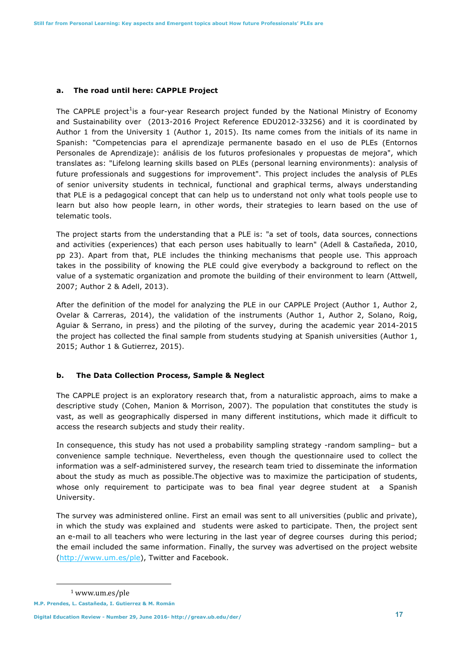#### **a. The road until here: CAPPLE Project**

The CAPPLE project<sup>1</sup>is a four-year Research project funded by the National Ministry of Economy and Sustainability over (2013-2016 Project Reference EDU2012-33256) and it is coordinated by Author 1 from the University 1 (Author 1, 2015). Its name comes from the initials of its name in Spanish: "Competencias para el aprendizaje permanente basado en el uso de PLEs (Entornos Personales de Aprendizaje): análisis de los futuros profesionales y propuestas de mejora", which translates as: "Lifelong learning skills based on PLEs (personal learning environments): analysis of future professionals and suggestions for improvement". This project includes the analysis of PLEs of senior university students in technical, functional and graphical terms, always understanding that PLE is a pedagogical concept that can help us to understand not only what tools people use to learn but also how people learn, in other words, their strategies to learn based on the use of telematic tools.

The project starts from the understanding that a PLE is: "a set of tools, data sources, connections and activities (experiences) that each person uses habitually to learn" (Adell & Castañeda, 2010, pp 23). Apart from that, PLE includes the thinking mechanisms that people use. This approach takes in the possibility of knowing the PLE could give everybody a background to reflect on the value of a systematic organization and promote the building of their environment to learn (Attwell, 2007; Author 2 & Adell, 2013).

After the definition of the model for analyzing the PLE in our CAPPLE Project (Author 1, Author 2, Ovelar & Carreras, 2014), the validation of the instruments (Author 1, Author 2, Solano, Roig, Aguiar & Serrano, in press) and the piloting of the survey, during the academic year 2014-2015 the project has collected the final sample from students studying at Spanish universities (Author 1, 2015; Author 1 & Gutierrez, 2015).

# **b. The Data Collection Process, Sample & Neglect**

The CAPPLE project is an exploratory research that, from a naturalistic approach, aims to make a descriptive study (Cohen, Manion & Morrison, 2007). The population that constitutes the study is vast, as well as geographically dispersed in many different institutions, which made it difficult to access the research subjects and study their reality.

In consequence, this study has not used a probability sampling strategy -random sampling– but a convenience sample technique. Nevertheless, even though the questionnaire used to collect the information was a self-administered survey, the research team tried to disseminate the information about the study as much as possible.The objective was to maximize the participation of students, whose only requirement to participate was to bea final year degree student at a Spanish University.

The survey was administered online. First an email was sent to all universities (public and private), in which the study was explained and students were asked to participate. Then, the project sent an e-mail to all teachers who were lecturing in the last year of degree courses during this period; the email included the same information. Finally, the survey was advertised on the project website (http://www.um.es/ple), Twitter and Facebook.

ı

<sup>1</sup> www.um.es/ple

**M.P. Prendes, L. Castañeda, I. Gutierrez & M. Román**

**Digital Education Review - Number 29, June 2016- http://greav.ub.edu/der/ 17**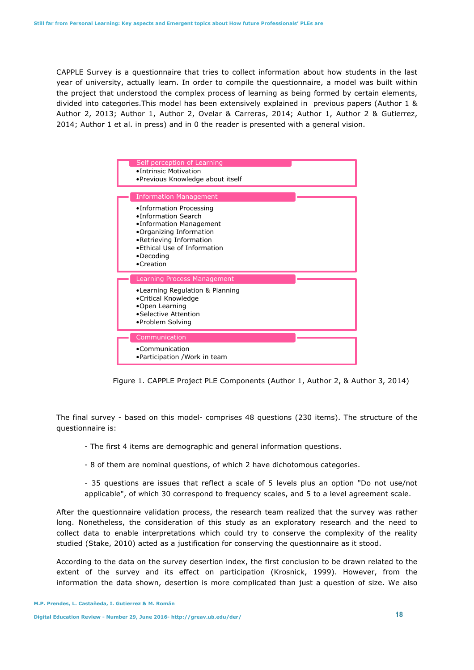CAPPLE Survey is a questionnaire that tries to collect information about how students in the last year of university, actually learn. In order to compile the questionnaire, a model was built within the project that understood the complex process of learning as being formed by certain elements, divided into categories.This model has been extensively explained in previous papers (Author 1 & Author 2, 2013; Author 1, Author 2, Ovelar & Carreras, 2014; Author 1, Author 2 & Gutierrez, 2014; Author 1 et al. in press) and in 0 the reader is presented with a general vision.



Figure 1. CAPPLE Project PLE Components (Author 1, Author 2, & Author 3, 2014)

The final survey - based on this model- comprises 48 questions (230 items). The structure of the questionnaire is:

- The first 4 items are demographic and general information questions.
- 8 of them are nominal questions, of which 2 have dichotomous categories.

- 35 questions are issues that reflect a scale of 5 levels plus an option "Do not use/not applicable", of which 30 correspond to frequency scales, and 5 to a level agreement scale.

After the questionnaire validation process, the research team realized that the survey was rather long. Nonetheless, the consideration of this study as an exploratory research and the need to collect data to enable interpretations which could try to conserve the complexity of the reality studied (Stake, 2010) acted as a justification for conserving the questionnaire as it stood.

According to the data on the survey desertion index, the first conclusion to be drawn related to the extent of the survey and its effect on participation (Krosnick, 1999). However, from the information the data shown, desertion is more complicated than just a question of size. We also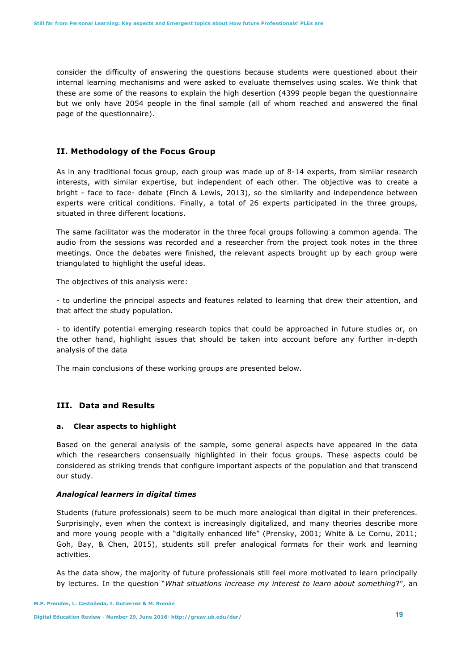consider the difficulty of answering the questions because students were questioned about their internal learning mechanisms and were asked to evaluate themselves using scales. We think that these are some of the reasons to explain the high desertion (4399 people began the questionnaire but we only have 2054 people in the final sample (all of whom reached and answered the final page of the questionnaire).

# **II. Methodology of the Focus Group**

As in any traditional focus group, each group was made up of 8-14 experts, from similar research interests, with similar expertise, but independent of each other. The objective was to create a bright - face to face- debate (Finch & Lewis, 2013), so the similarity and independence between experts were critical conditions. Finally, a total of 26 experts participated in the three groups, situated in three different locations.

The same facilitator was the moderator in the three focal groups following a common agenda. The audio from the sessions was recorded and a researcher from the project took notes in the three meetings. Once the debates were finished, the relevant aspects brought up by each group were triangulated to highlight the useful ideas.

The objectives of this analysis were:

- to underline the principal aspects and features related to learning that drew their attention, and that affect the study population.

- to identify potential emerging research topics that could be approached in future studies or, on the other hand, highlight issues that should be taken into account before any further in-depth analysis of the data

The main conclusions of these working groups are presented below.

## **III. Data and Results**

## **a. Clear aspects to highlight**

Based on the general analysis of the sample, some general aspects have appeared in the data which the researchers consensually highlighted in their focus groups. These aspects could be considered as striking trends that configure important aspects of the population and that transcend our study.

#### *Analogical learners in digital times*

Students (future professionals) seem to be much more analogical than digital in their preferences. Surprisingly, even when the context is increasingly digitalized, and many theories describe more and more young people with a "digitally enhanced life" (Prensky, 2001; White & Le Cornu, 2011; Goh, Bay, & Chen, 2015), students still prefer analogical formats for their work and learning activities.

As the data show, the majority of future professionals still feel more motivated to learn principally by lectures. In the question "*What situations increase my interest to learn about something*?", an

**Digital Education Review - Number 29, June 2016- http://greav.ub.edu/der/ 19**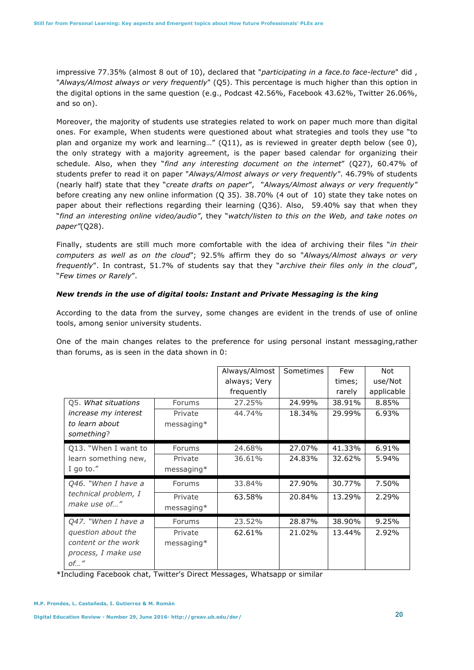impressive 77.35% (almost 8 out of 10), declared that "*participating in a face.to face-lecture*" did , "*Always/Almost always or very frequently*" (Q5). This percentage is much higher than this option in the digital options in the same question (e.g., Podcast 42.56%, Facebook 43.62%, Twitter 26.06%, and so on).

Moreover, the majority of students use strategies related to work on paper much more than digital ones. For example, When students were questioned about what strategies and tools they use "to plan and organize my work and learning…" (Q11), as is reviewed in greater depth below (see 0), the only strategy with a majority agreement, is the paper based calendar for organizing their schedule. Also, when they "*find any interesting document on the internet*" (Q27), 60.47% of students prefer to read it on paper "*Always/Almost always or very frequently"*. 46.79% of students (nearly half) state that they "*create drafts on paper*", "*Always/Almost always or very frequently"* before creating any new online information (Q 35). 38.70% (4 out of 10) state they take notes on paper about their reflections regarding their learning (Q36). Also, 59.40% say that when they "*find an interesting online video/audio"*, they "*watch/listen to this on the Web, and take notes on paper"*(Q28).

Finally, students are still much more comfortable with the idea of archiving their files "*in their computers as well as on the cloud*"; 92.5% affirm they do so "*Always/Almost always or very frequently*". In contrast, 51.7% of students say that they "*archive their files only in the cloud*", "*Few times or Rarely*".

# *New trends in the use of digital tools: Instant and Private Messaging is the king*

According to the data from the survey, some changes are evident in the trends of use of online tools, among senior university students.

One of the main changes relates to the preference for using personal instant messaging,rather than forums, as is seen in the data shown in 0:

|                                                                  |              | Always/Almost | Sometimes | Few    | Not        |
|------------------------------------------------------------------|--------------|---------------|-----------|--------|------------|
|                                                                  |              | always; Very  |           | times; | use/Not    |
|                                                                  |              | frequently    |           | rarely | applicable |
| Q5. What situations                                              | Forums       | 27.25%        | 24.99%    | 38.91% | 8.85%      |
| increase my interest                                             | Private      | 44.74%        | 18.34%    | 29.99% | 6.93%      |
| to learn about                                                   | messaging*   |               |           |        |            |
| something?                                                       |              |               |           |        |            |
| Q13. "When I want to                                             | Forums       | 24.68%        | 27.07%    | 41.33% | 6.91%      |
| learn something new,                                             | Private      | 36.61%        | 24.83%    | 32.62% | 5.94%      |
| I go to."                                                        | $messaging*$ |               |           |        |            |
| Q46. "When I have a<br>technical problem, I<br>make use of"      | Forums       | 33.84%        | 27.90%    | 30.77% | 7.50%      |
|                                                                  | Private      | 63.58%        | 20.84%    | 13.29% | 2.29%      |
|                                                                  | $messaging*$ |               |           |        |            |
| Q47. "When I have a<br>question about the<br>content or the work | Forums       | 23.52%        | 28.87%    | 38.90% | 9.25%      |
|                                                                  | Private      | 62.61%        | 21.02%    | 13.44% | 2.92%      |
|                                                                  | $messaging*$ |               |           |        |            |
| process, I make use                                              |              |               |           |        |            |
| of''                                                             |              |               |           |        |            |

\*Including Facebook chat, Twitter's Direct Messages, Whatsapp or similar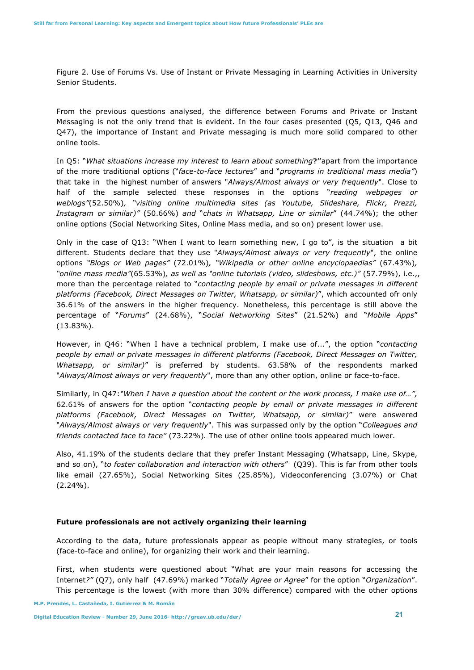Figure 2. Use of Forums Vs. Use of Instant or Private Messaging in Learning Activities in University Senior Students.

From the previous questions analysed, the difference between Forums and Private or Instant Messaging is not the only trend that is evident. In the four cases presented (Q5, Q13, Q46 and Q47), the importance of Instant and Private messaging is much more solid compared to other online tools.

In Q5: "*What situations increase my interest to learn about something***?"**apart from the importance of the more traditional options ("*face-to-face lectures*" and "*programs in traditional mass media"*) that take in the highest number of answers "*Always/Almost always or very frequently*". Close to half of the sample selected these responses in the options "*reading webpages or weblogs"*(52.50%)*, "visiting online multimedia sites (as Youtube, Slideshare, Flickr, Prezzi, Instagram or similar)"* (50.66%) *and* "*chats in Whatsapp, Line or similar*" (44.74%); the other online options (Social Networking Sites, Online Mass media, and so on) present lower use.

Only in the case of Q13: "When I want to learn something new, I go to", is the situation a bit different. Students declare that they use "*Always/Almost always or very frequently*", the online options *"Blogs or Web pages"* (72.01%)*, "Wikipedia or other online encyclopaedias"* (67.43%)*, "online mass media"*(65.53%)*, as well as "online tutorials (video, slideshows, etc.)"* (57.79%), i.e.,, more than the percentage related to "*contacting people by email or private messages in different platforms (Facebook, Direct Messages on Twitter, Whatsapp, or similar)*", which accounted ofr only 36.61% of the answers in the higher frequency. Nonetheless, this percentage is still above the percentage of "*Forums*" (24.68%), "*Social Networking Sites*" (21.52%) and "*Mobile Apps*" (13.83%).

However, in Q46: "When I have a technical problem, I make use of...", the option "*contacting people by email or private messages in different platforms (Facebook, Direct Messages on Twitter, Whatsapp, or similar)*" is preferred by students. 63.58% of the respondents marked "*Always/Almost always or very frequently*", more than any other option, online or face-to-face.

Similarly, in Q47:*"When I have a question about the content or the work process, I make use of…",* 62.61% of answers for the option "*contacting people by email or private messages in different platforms (Facebook, Direct Messages on Twitter, Whatsapp, or similar)*" were answered "*Always/Almost always or very frequently*". This was surpassed only by the option "*Colleagues and friends contacted face to face"* (73.22%)*.* The use of other online tools appeared much lower.

Also, 41.19% of the students declare that they prefer Instant Messaging (Whatsapp, Line, Skype, and so on), "*to foster collaboration and interaction with others*" (Q39). This is far from other tools like email (27.65%), Social Networking Sites (25.85%), Videoconferencing (3.07%) or Chat (2.24%).

#### **Future professionals are not actively organizing their learning**

According to the data, future professionals appear as people without many strategies, or tools (face-to-face and online), for organizing their work and their learning.

First, when students were questioned about "What are your main reasons for accessing the Internet*?"* (Q7), only half (47.69%) marked "*Totally Agree or Agree*" for the option "*Organization*". This percentage is the lowest (with more than 30% difference) compared with the other options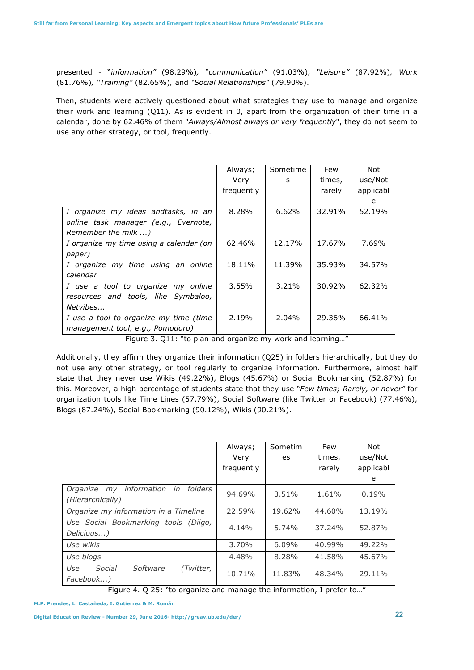presented - "*information"* (98.29%)*, "communication"* (91.03%)*, "Leisure"* (87.92%)*, Work*  (81.76%)*, "Training"* (82.65%)*,* and *"Social Relationships"* (79.90%).

Then, students were actively questioned about what strategies they use to manage and organize their work and learning (Q11). As is evident in 0, apart from the organization of their time in a calendar, done by 62.46% of them "*Always/Almost always or very frequently*", they do not seem to use any other strategy, or tool, frequently.

|                                         | Always;    | Sometime | Few    | Not       |
|-----------------------------------------|------------|----------|--------|-----------|
|                                         | Very       | S        | times, | use/Not   |
|                                         | frequently |          | rarely | applicabl |
|                                         |            |          |        | e         |
| I organize my ideas andtasks, in an     | 8.28%      | 6.62%    | 32.91% | 52.19%    |
| online task manager (e.g., Evernote,    |            |          |        |           |
| Remember the milk )                     |            |          |        |           |
| I organize my time using a calendar (on | 62.46%     | 12.17%   | 17.67% | 7.69%     |
| paper)                                  |            |          |        |           |
| I organize my time using an online      | 18.11%     | 11.39%   | 35.93% | 34.57%    |
| calendar                                |            |          |        |           |
| I use a tool to organize my online      | 3.55%      | 3.21%    | 30.92% | 62.32%    |
| resources and tools, like Symbaloo,     |            |          |        |           |
| Netvibes                                |            |          |        |           |
| I use a tool to organize my time (time  | 2.19%      | 2.04%    | 29.36% | 66.41%    |
| management tool, e.g., Pomodoro)        |            |          |        |           |

Figure 3. Q11: "to plan and organize my work and learning…"

Additionally, they affirm they organize their information (Q25) in folders hierarchically, but they do not use any other strategy, or tool regularly to organize information. Furthermore, almost half state that they never use Wikis (49.22%), Blogs (45.67%) or Social Bookmarking (52.87%) for this. Moreover, a high percentage of students state that they use "*Few times; Rarely, or never"* for organization tools like Time Lines (57.79%), Social Software (like Twitter or Facebook) (77.46%), Blogs (87.24%), Social Bookmarking (90.12%), Wikis (90.21%).

|                                                                 | Always;    | Sometim | Few    | Not       |
|-----------------------------------------------------------------|------------|---------|--------|-----------|
|                                                                 | Verv       | es      | times, | use/Not   |
|                                                                 | frequently |         | rarely | applicabl |
|                                                                 |            |         |        | e         |
| my information<br>folders<br>in<br>Organize<br>(Hierarchically) | 94.69%     | 3.51%   | 1.61%  | 0.19%     |
| Organize my information in a Timeline                           | 22.59%     | 19.62%  | 44.60% | 13.19%    |
| Use Social Bookmarking tools (Diigo,<br>Delicious)              | 4.14%      | 5.74%   | 37.24% | 52.87%    |
| Use wikis                                                       | 3.70%      | 6.09%   | 40.99% | 49.22%    |
| Use blogs                                                       | 4.48%      | 8.28%   | 41.58% | 45.67%    |
| Social<br>Software<br>Use<br>(Twitter,<br>Facebook)             | 10.71%     | 11.83%  | 48.34% | 29.11%    |

Figure 4. Q 25: "to organize and manage the information, I prefer to…"

**M.P. Prendes, L. Castañeda, I. Gutierrez & M. Román**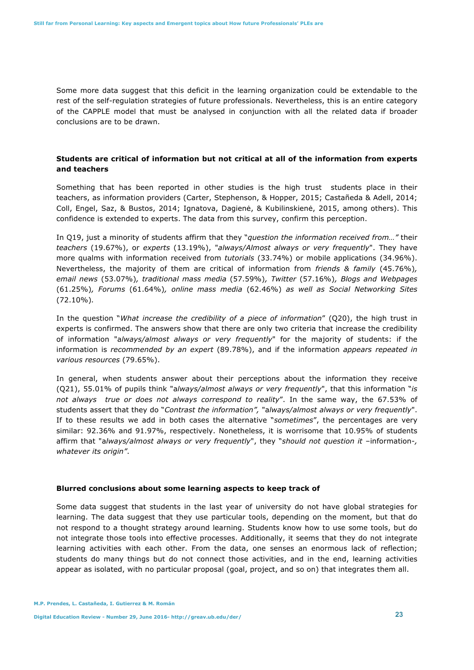Some more data suggest that this deficit in the learning organization could be extendable to the rest of the self-regulation strategies of future professionals. Nevertheless, this is an entire category of the CAPPLE model that must be analysed in conjunction with all the related data if broader conclusions are to be drawn.

# **Students are critical of information but not critical at all of the information from experts and teachers**

Something that has been reported in other studies is the high trust students place in their teachers, as information providers (Carter, Stephenson, & Hopper, 2015; Castañeda & Adell, 2014; Coll, Engel, Saz, & Bustos, 2014; Ignatova, Dagienė, & Kubilinskienė, 2015, among others). This confidence is extended to experts. The data from this survey, confirm this perception.

In Q19, just a minority of students affirm that they "*question the information received from…"* their *teachers* (19.67%), or *experts* (13.19%), "*always/Almost always or very frequently*". They have more qualms with information received from *tutorials* (33.74%) or mobile applications (34.96%). Nevertheless, the majority of them are critical of information from *friends & family* (45.76%)*, email news* (53.07%)*, traditional mass media* (57.59%)*, Twitter* (57.16%)*, Blogs and Webpages* (61.25%)*, Forums* (61.64%)*, online mass media* (62.46%) *as well as Social Networking Sites* (72.10%)*.*

In the question "*What increase the credibility of a piece of information*" (Q20), the high trust in experts is confirmed. The answers show that there are only two criteria that increase the credibility of information "a*lways/almost always or very frequently*" for the majority of students: if the information is *recommended by an expert* (89.78%), and if the information *appears repeated in various resources* (79.65%).

In general, when students answer about their perceptions about the information they receive (Q21), 55.01% of pupils think "a*lways/almost always or very frequently*", that this information "*is not always true or does not always correspond to reality*". In the same way, the 67.53% of students assert that they do "*Contrast the information",* "a*lways/almost always or very frequently*". If to these results we add in both cases the alternative "*sometimes*", the percentages are very similar: 92.36% and 91.97%, respectively. Nonetheless, it is worrisome that 10.95% of students affirm that "a*lways/almost always or very frequently*", they "*should not question it* –information-*, whatever its origin"*.

#### **Blurred conclusions about some learning aspects to keep track of**

Some data suggest that students in the last year of university do not have global strategies for learning. The data suggest that they use particular tools, depending on the moment, but that do not respond to a thought strategy around learning. Students know how to use some tools, but do not integrate those tools into effective processes. Additionally, it seems that they do not integrate learning activities with each other. From the data, one senses an enormous lack of reflection; students do many things but do not connect those activities, and in the end, learning activities appear as isolated, with no particular proposal (goal, project, and so on) that integrates them all.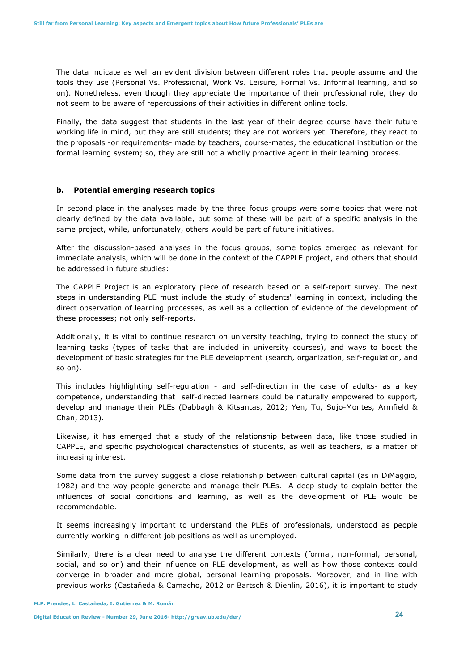The data indicate as well an evident division between different roles that people assume and the tools they use (Personal Vs. Professional, Work Vs. Leisure, Formal Vs. Informal learning, and so on). Nonetheless, even though they appreciate the importance of their professional role, they do not seem to be aware of repercussions of their activities in different online tools.

Finally, the data suggest that students in the last year of their degree course have their future working life in mind, but they are still students; they are not workers yet. Therefore, they react to the proposals -or requirements- made by teachers, course-mates, the educational institution or the formal learning system; so, they are still not a wholly proactive agent in their learning process.

#### **b. Potential emerging research topics**

In second place in the analyses made by the three focus groups were some topics that were not clearly defined by the data available, but some of these will be part of a specific analysis in the same project, while, unfortunately, others would be part of future initiatives.

After the discussion-based analyses in the focus groups, some topics emerged as relevant for immediate analysis, which will be done in the context of the CAPPLE project, and others that should be addressed in future studies:

The CAPPLE Project is an exploratory piece of research based on a self-report survey. The next steps in understanding PLE must include the study of students' learning in context, including the direct observation of learning processes, as well as a collection of evidence of the development of these processes; not only self-reports.

Additionally, it is vital to continue research on university teaching, trying to connect the study of learning tasks (types of tasks that are included in university courses), and ways to boost the development of basic strategies for the PLE development (search, organization, self-regulation, and so on).

This includes highlighting self-regulation - and self-direction in the case of adults- as a key competence, understanding that self-directed learners could be naturally empowered to support, develop and manage their PLEs (Dabbagh & Kitsantas, 2012; Yen, Tu, Sujo-Montes, Armfield & Chan, 2013).

Likewise, it has emerged that a study of the relationship between data, like those studied in CAPPLE, and specific psychological characteristics of students, as well as teachers, is a matter of increasing interest.

Some data from the survey suggest a close relationship between cultural capital (as in DiMaggio, 1982) and the way people generate and manage their PLEs. A deep study to explain better the influences of social conditions and learning, as well as the development of PLE would be recommendable.

It seems increasingly important to understand the PLEs of professionals, understood as people currently working in different job positions as well as unemployed.

Similarly, there is a clear need to analyse the different contexts (formal, non-formal, personal, social, and so on) and their influence on PLE development, as well as how those contexts could converge in broader and more global, personal learning proposals. Moreover, and in line with previous works (Castañeda & Camacho, 2012 or Bartsch & Dienlin, 2016), it is important to study

**M.P. Prendes, L. Castañeda, I. Gutierrez & M. Román**

**Digital Education Review - Number 29, June 2016- http://greav.ub.edu/der/ 24**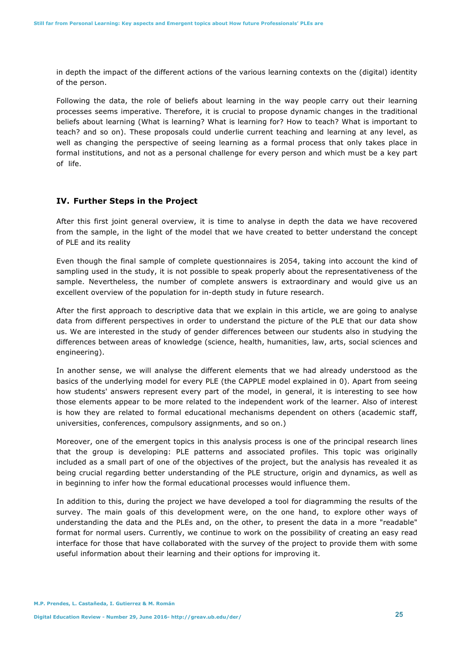in depth the impact of the different actions of the various learning contexts on the (digital) identity of the person.

Following the data, the role of beliefs about learning in the way people carry out their learning processes seems imperative. Therefore, it is crucial to propose dynamic changes in the traditional beliefs about learning (What is learning? What is learning for? How to teach? What is important to teach? and so on). These proposals could underlie current teaching and learning at any level, as well as changing the perspective of seeing learning as a formal process that only takes place in formal institutions, and not as a personal challenge for every person and which must be a key part of life.

#### **IV. Further Steps in the Project**

After this first joint general overview, it is time to analyse in depth the data we have recovered from the sample, in the light of the model that we have created to better understand the concept of PLE and its reality

Even though the final sample of complete questionnaires is 2054, taking into account the kind of sampling used in the study, it is not possible to speak properly about the representativeness of the sample. Nevertheless, the number of complete answers is extraordinary and would give us an excellent overview of the population for in-depth study in future research.

After the first approach to descriptive data that we explain in this article, we are going to analyse data from different perspectives in order to understand the picture of the PLE that our data show us. We are interested in the study of gender differences between our students also in studying the differences between areas of knowledge (science, health, humanities, law, arts, social sciences and engineering).

In another sense, we will analyse the different elements that we had already understood as the basics of the underlying model for every PLE (the CAPPLE model explained in 0). Apart from seeing how students' answers represent every part of the model, in general, it is interesting to see how those elements appear to be more related to the independent work of the learner. Also of interest is how they are related to formal educational mechanisms dependent on others (academic staff, universities, conferences, compulsory assignments, and so on.)

Moreover, one of the emergent topics in this analysis process is one of the principal research lines that the group is developing: PLE patterns and associated profiles. This topic was originally included as a small part of one of the objectives of the project, but the analysis has revealed it as being crucial regarding better understanding of the PLE structure, origin and dynamics, as well as in beginning to infer how the formal educational processes would influence them.

In addition to this, during the project we have developed a tool for diagramming the results of the survey. The main goals of this development were, on the one hand, to explore other ways of understanding the data and the PLEs and, on the other, to present the data in a more "readable" format for normal users. Currently, we continue to work on the possibility of creating an easy read interface for those that have collaborated with the survey of the project to provide them with some useful information about their learning and their options for improving it.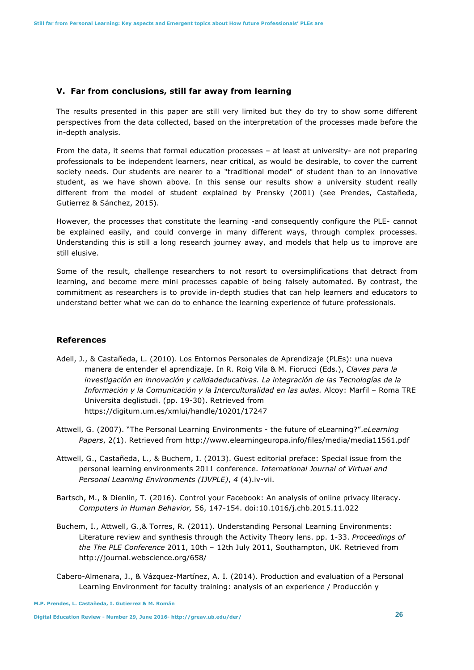## **V. Far from conclusions, still far away from learning**

The results presented in this paper are still very limited but they do try to show some different perspectives from the data collected, based on the interpretation of the processes made before the in-depth analysis.

From the data, it seems that formal education processes – at least at university- are not preparing professionals to be independent learners, near critical, as would be desirable, to cover the current society needs. Our students are nearer to a "traditional model" of student than to an innovative student, as we have shown above. In this sense our results show a university student really different from the model of student explained by Prensky (2001) (see Prendes, Castañeda, Gutierrez & Sánchez, 2015).

However, the processes that constitute the learning -and consequently configure the PLE- cannot be explained easily, and could converge in many different ways, through complex processes. Understanding this is still a long research journey away, and models that help us to improve are still elusive.

Some of the result, challenge researchers to not resort to oversimplifications that detract from learning, and become mere mini processes capable of being falsely automated. By contrast, the commitment as researchers is to provide in-depth studies that can help learners and educators to understand better what we can do to enhance the learning experience of future professionals.

## **References**

- Adell, J., & Castañeda, L. (2010). Los Entornos Personales de Aprendizaje (PLEs): una nueva manera de entender el aprendizaje. In R. Roig Vila & M. Fiorucci (Eds.), *Claves para la investigación en innovación y calidadeducativas. La integración de las Tecnologías de la Información y la Comunicación y la Interculturalidad en las aulas.* Alcoy: Marfil – Roma TRE Universita deglistudi. (pp. 19-30). Retrieved from https://digitum.um.es/xmlui/handle/10201/17247
- Attwell, G. (2007). "The Personal Learning Environments the future of eLearning?".*eLearning Papers*, 2(1). Retrieved from http://www.elearningeuropa.info/files/media/media11561.pdf
- Attwell, G., Castañeda, L., & Buchem, I. (2013). Guest editorial preface: Special issue from the personal learning environments 2011 conference. *International Journal of Virtual and Personal Learning Environments (IJVPLE)*, *4* (4).iv-vii.
- Bartsch, M., & Dienlin, T. (2016). Control your Facebook: An analysis of online privacy literacy. *Computers in Human Behavior,* 56, 147-154. doi:10.1016/j.chb.2015.11.022
- Buchem, I., Attwell, G.,& Torres, R. (2011). Understanding Personal Learning Environments: Literature review and synthesis through the Activity Theory lens. pp. 1-33. *Proceedings of the The PLE Conference* 2011, 10th – 12th July 2011, Southampton, UK. Retrieved from http://journal.webscience.org/658/
- Cabero-Almenara, J., & Vázquez-Martínez, A. I. (2014). Production and evaluation of a Personal Learning Environment for faculty training: analysis of an experience / Producción y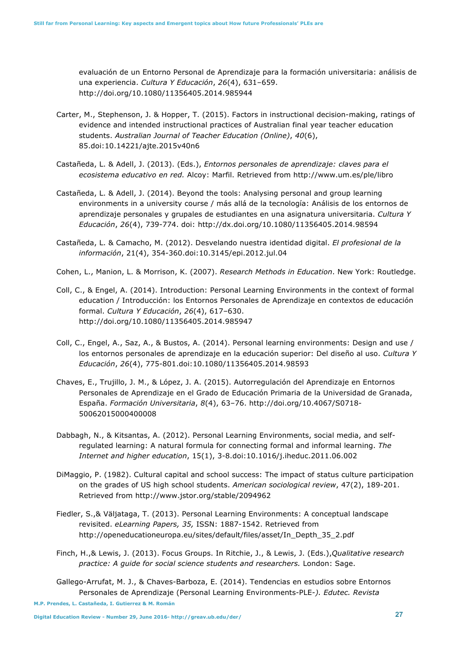evaluación de un Entorno Personal de Aprendizaje para la formación universitaria: análisis de una experiencia. *Cultura Y Educación*, *26*(4), 631–659. http://doi.org/10.1080/11356405.2014.985944

- Carter, M., Stephenson, J. & Hopper, T. (2015). Factors in instructional decision-making, ratings of evidence and intended instructional practices of Australian final year teacher education students. *Australian Journal of Teacher Education (Online)*, *40*(6), 85.doi:10.14221/ajte.2015v40n6
- Castañeda, L. & Adell, J. (2013). (Eds.), *Entornos personales de aprendizaje: claves para el ecosistema educativo en red.* Alcoy: Marfil. Retrieved from http://www.um.es/ple/libro
- Castañeda, L. & Adell, J. (2014). Beyond the tools: Analysing personal and group learning environments in a university course / más allá de la tecnología: Análisis de los entornos de aprendizaje personales y grupales de estudiantes en una asignatura universitaria. *Cultura Y Educación*, *26*(4), 739-774. doi: http://dx.doi.org/10.1080/11356405.2014.98594
- Castañeda, L. & Camacho, M. (2012). Desvelando nuestra identidad digital. *El profesional de la información*, 21(4), 354-360.doi:10.3145/epi.2012.jul.04
- Cohen, L., Manion, L. & Morrison, K. (2007). *Research Methods in Education*. New York: Routledge.
- Coll, C., & Engel, A. (2014). Introduction: Personal Learning Environments in the context of formal education / Introducción: los Entornos Personales de Aprendizaje en contextos de educación formal. *Cultura Y Educación*, *26*(4), 617–630. http://doi.org/10.1080/11356405.2014.985947
- Coll, C., Engel, A., Saz, A., & Bustos, A. (2014). Personal learning environments: Design and use / los entornos personales de aprendizaje en la educación superior: Del diseño al uso. *Cultura Y Educación*, *26*(4), 775-801.doi:10.1080/11356405.2014.98593
- Chaves, E., Trujillo, J. M., & López, J. A. (2015). Autorregulación del Aprendizaje en Entornos Personales de Aprendizaje en el Grado de Educación Primaria de la Universidad de Granada, España. *Formación Universitaria*, *8*(4), 63–76. http://doi.org/10.4067/S0718- 50062015000400008
- Dabbagh, N., & Kitsantas, A. (2012). Personal Learning Environments, social media, and selfregulated learning: A natural formula for connecting formal and informal learning. *The Internet and higher education*, 15(1), 3-8.doi:10.1016/j.iheduc.2011.06.002
- DiMaggio, P. (1982). Cultural capital and school success: The impact of status culture participation on the grades of US high school students. *American sociological review*, 47(2), 189-201. Retrieved from http://www.jstor.org/stable/2094962
- Fiedler, S.,& Väljataga, T. (2013). Personal Learning Environments: A conceptual landscape revisited. *eLearning Papers, 35,* ISSN: 1887-1542. Retrieved from http://openeducationeuropa.eu/sites/default/files/asset/In\_Depth\_35\_2.pdf
- Finch, H.,& Lewis, J. (2013). Focus Groups. In Ritchie, J., & Lewis, J. (Eds.),*Qualitative research practice: A guide for social science students and researchers.* London: Sage.
- Gallego-Arrufat, M. J., & Chaves-Barboza, E. (2014). Tendencias en estudios sobre Entornos Personales de Aprendizaje (Personal Learning Environments-PLE*-). Edutec. Revista*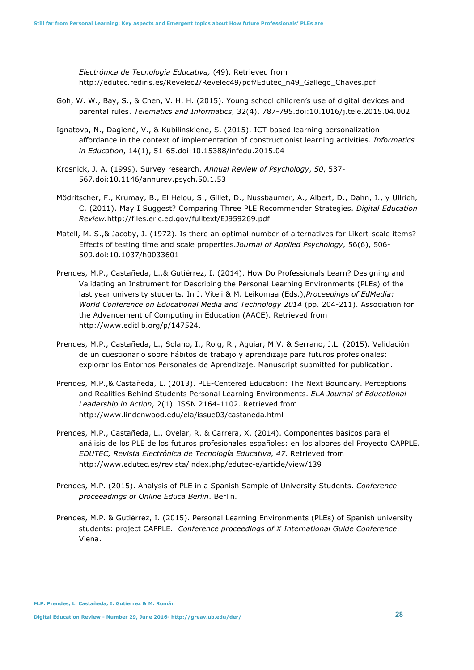*Electrónica de Tecnología Educativa,* (49). Retrieved from http://edutec.rediris.es/Revelec2/Revelec49/pdf/Edutec\_n49\_Gallego\_Chaves.pdf

- Goh, W. W., Bay, S., & Chen, V. H. H. (2015). Young school children's use of digital devices and parental rules. *Telematics and Informatics*, 32(4), 787-795.doi:10.1016/j.tele.2015.04.002
- Ignatova, N., Dagienė, V., & Kubilinskienė, S. (2015). ICT-based learning personalization affordance in the context of implementation of constructionist learning activities. *Informatics in Education*, 14(1), 51-65.doi:10.15388/infedu.2015.04
- Krosnick, J. A. (1999). Survey research. *Annual Review of Psychology*, *50*, 537- 567.doi:10.1146/annurev.psych.50.1.53
- Mödritscher, F., Krumay, B., El Helou, S., Gillet, D., Nussbaumer, A., Albert, D., Dahn, I., y Ullrich, C. (2011). May I Suggest? Comparing Three PLE Recommender Strategies. *Digital Education Review.*http://files.eric.ed.gov/fulltext/EJ959269.pdf
- Matell, M. S.,& Jacoby, J. (1972). Is there an optimal number of alternatives for Likert-scale items? Effects of testing time and scale properties.*Journal of Applied Psychology,* 56(6), 506- 509.doi:10.1037/h0033601
- Prendes, M.P., Castañeda, L.,& Gutiérrez, I. (2014). How Do Professionals Learn? Designing and Validating an Instrument for Describing the Personal Learning Environments (PLEs) of the last year university students. In J. Viteli & M. Leikomaa (Eds.),*Proceedings of EdMedia: World Conference on Educational Media and Technology 2014* (pp. 204-211). Association for the Advancement of Computing in Education (AACE). Retrieved from http://www.editlib.org/p/147524.
- Prendes, M.P., Castañeda, L., Solano, I., Roig, R., Aguiar, M.V. & Serrano, J.L. (2015). Validación de un cuestionario sobre hábitos de trabajo y aprendizaje para futuros profesionales: explorar los Entornos Personales de Aprendizaje. Manuscript submitted for publication.
- Prendes, M.P.,& Castañeda, L. (2013). PLE-Centered Education: The Next Boundary. Perceptions and Realities Behind Students Personal Learning Environments. *ELA Journal of Educational Leadership in Action*, 2(1). ISSN 2164-1102. Retrieved from http://www.lindenwood.edu/ela/issue03/castaneda.html
- Prendes, M.P., Castañeda, L., Ovelar, R. & Carrera, X. (2014). Componentes básicos para el análisis de los PLE de los futuros profesionales españoles: en los albores del Proyecto CAPPLE. *EDUTEC, Revista Electrónica de Tecnología Educativa, 47.* Retrieved from http://www.edutec.es/revista/index.php/edutec-e/article/view/139
- Prendes, M.P. (2015). Analysis of PLE in a Spanish Sample of University Students. *Conference proceeadings of Online Educa Berlin*. Berlin.
- Prendes, M.P. & Gutiérrez, I. (2015). Personal Learning Environments (PLEs) of Spanish university students: project CAPPLE. *Conference proceedings of X International Guide Conference*. Viena.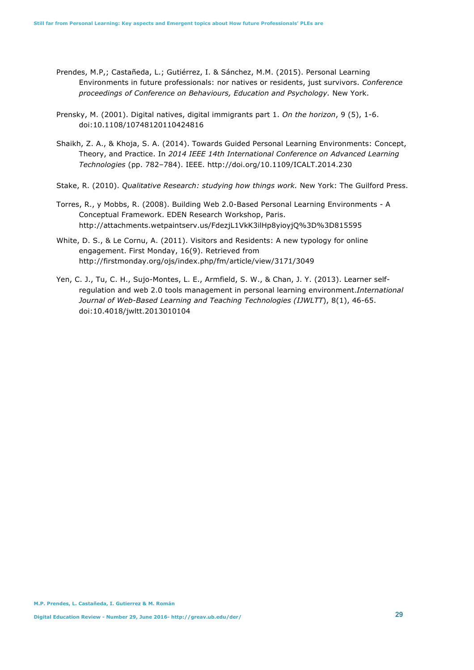- Prendes, M.P,; Castañeda, L.; Gutiérrez, I. & Sánchez, M.M. (2015). Personal Learning Environments in future professionals: nor natives or residents, just survivors. *Conference proceedings of Conference on Behaviours, Education and Psychology.* New York.
- Prensky, M. (2001). Digital natives, digital immigrants part 1. *On the horizon*, 9 (5), 1-6. doi:10.1108/10748120110424816
- Shaikh, Z. A., & Khoja, S. A. (2014). Towards Guided Personal Learning Environments: Concept, Theory, and Practice. In *2014 IEEE 14th International Conference on Advanced Learning Technologies* (pp. 782–784). IEEE. http://doi.org/10.1109/ICALT.2014.230
- Stake, R. (2010). *Qualitative Research: studying how things work.* New York: The Guilford Press.
- Torres, R., y Mobbs, R. (2008). Building Web 2.0-Based Personal Learning Environments A Conceptual Framework. EDEN Research Workshop, Paris. http://attachments.wetpaintserv.us/FdezjL1VkK3ilHp8yioyjQ%3D%3D815595
- White, D. S., & Le Cornu, A. (2011). Visitors and Residents: A new typology for online engagement. First Monday, 16(9). Retrieved from http://firstmonday.org/ojs/index.php/fm/article/view/3171/3049
- Yen, C. J., Tu, C. H., Sujo-Montes, L. E., Armfield, S. W., & Chan, J. Y. (2013). Learner selfregulation and web 2.0 tools management in personal learning environment.*International Journal of Web-Based Learning and Teaching Technologies (IJWLTT*), 8(1), 46-65. doi:10.4018/jwltt.2013010104